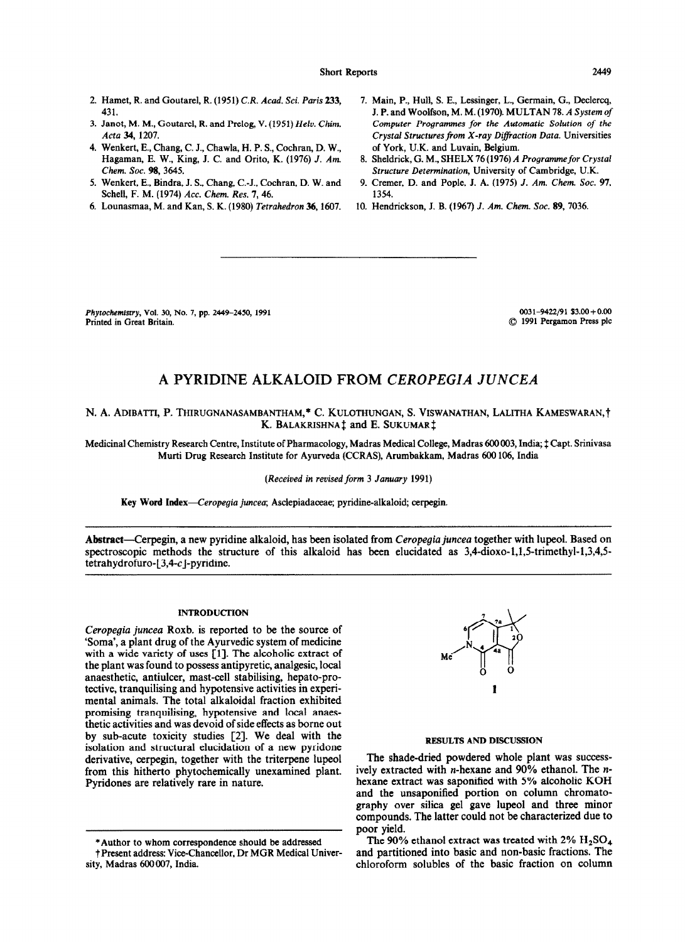Short Reports 2449

- 2. Hamet, R. and Goutarel, R. (1951) CR. *Acad.* Sci. *Paris* 233, 431.
- 3. Janot, M. M., Goutarel, R. and Prelog, V. (1951) *Helv. Chim. Acta 34,* 1207.
- 4. Wenkert, E., Chang, C. J., Chawla, H. P.S., Cochran, D. W., Hagaman, E. W., King, J. C. and Orito, K. (1976) J. *Am. Chem. Sot. 98,3645.*
- *5.* Wenkert, E., Bindra, J. S., Chang, C.-J., Cochran, D. W. and Schell, F. M. (1974) *Ace. Chem. Res. 7,46.*
- *6.* Lounasmaa, M. and Kan, S. K. (1980) *Tetrahedron 36,1607.*
- *7.* Main, P., Hull, S. E., Lessinger, L., Germain, G., Declercq, J. P. and Woolfson, M. M. (1970). MULTAN 78. *A System of Computer Progtammes for the Automatic Solution of the Crystal Structuresfiom X-ray DJfiaction Data.* Universities of York, U.K. and Luvain, Belgium.
- 8. Sheldrick, G. M., SHELX 76 (1976) *A Programmefor* Crystal *Structure Determination,* University of Cambridge, U.K.
- 9. Cremer, D. and Pople, J. A. (1975) J. *Am. Chem. Sot. 97, 1354.*
- 10. Hendrickson, J. B. (1967) J. Am. Chem. Soc. 89, 7036.

Phytochemistry, Vol. 30, No. 7, pp. 2449–2450, 1991 0031 0031-9422/91 \$3.00 + 0.00<br>Printed in Great Britain. (2016) 991 0031-9422/91 \$3.00 + 0.000 0031-9422/91 \$3.00 + 0.000 0031-9422/91 \$3.00

 $©$  1991 Pergamon Press plc

# **A PYRIDINE ALKALOID FROM** *CEROPEGfA JUNCEA*

N. A. ADIBATTI, P. THIRUGNANASAMBANTHAM,\* C. KULOTHUNGAN, S. VISWANATHAN, LALITHA KAMESWARAN,† K. BALAKRISHNA<sup> $\ddagger$ </sup> and E. SUKUMAR $\ddagger$ 

Medicinal Chemistry Research Centre, Institute of Pharmacology, Madras Medical College, Madras 600003, India; ‡ Capt. Srinivasa Murti Drug Research Institute for Ayurveda (CCRAS), Arumbakkam, Madras 600 106, India

*(Received* in *revised form 3 January 1991)* 

Key Word Index-Ceropegia juncea; Asclepiadaceae; pyridine-alkaloid; cerpegin.

Ahstraet-Cerpegin, a new pyridine alkaloid, has been isolated from *Ceropegia juncea* together with lupeol. Based on spectroscopic methods the structure of this alkaloid has been elucidated as  $3,4$ -dioxo-1,1,5-trimethyl-1,3,4,5 $tetrahydrofuro-[3,4-c]$ -pyridine.

## INTRODUCTION

*Ceropegia juncea* Roxb. is reported to be the source of 'Soma', a plant drug of the Ayurvedic system of medicine with a wide variety of uses [1]. The alcoholic extract of the plant was found to possess antipyretic, analgesic, local anaesthetic, antiulcer, mast-cell stabilising, hepato-protective, tranquilising and hypotensive activities in experimental animals. The total alkaloidal fraction exhibited promising tranquilising, hypotensive and local anaesthetic activities and was devoid of side effects as borne out by sub-acute toxicity studies [Z]. We deal with the isolation and structural elucidation of a new pyridone derivative, cerpegin, together with the triterpene lupeol from this hitherto phytochemically unexamined plant. Pyridones are relatively rare in nature.



## RESULTS AND DISCUSSION

The shade-dried powdered whole plant was successively extracted with n-hexane and 90% ethanol. The *n*hexane extract was saponified with 5% alcoholic KOH and the unsaponified portion on column chromatography over silica gel gave lupeol and three minor compounds. The latter could not be characterized due to

poor yield.<br>The 90% ethanol extract was treated with 2%  $H_2SO_4$ \*Author to whom correspondence should be addressed<br>
†Present address: Vice-Chancellor, Dr MGR Medical Univer- and partitioned into basic and non-basic fractions. The chloroform solubles of the basic fraction on column

t Present address: Vice-Chancellor, Dr MGR Medical University, Madras 600 007, India.